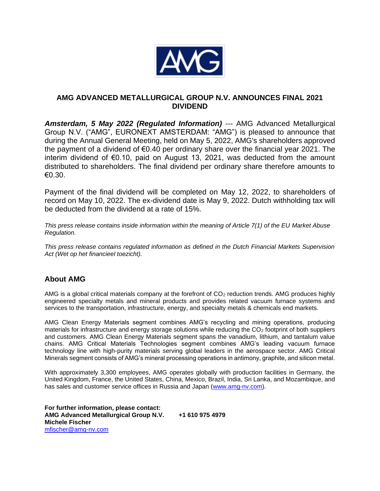

## **AMG ADVANCED METALLURGICAL GROUP N.V. ANNOUNCES FINAL 2021 DIVIDEND**

*Amsterdam, 5 May 2022 (Regulated Information) ---* AMG Advanced Metallurgical Group N.V. ("AMG", EURONEXT AMSTERDAM: "AMG") is pleased to announce that during the Annual General Meeting, held on May 5, 2022, AMG's shareholders approved the payment of a dividend of €0.40 per ordinary share over the financial year 2021. The interim dividend of €0.10, paid on August 13, 2021, was deducted from the amount distributed to shareholders. The final dividend per ordinary share therefore amounts to €0.30.

Payment of the final dividend will be completed on May 12, 2022, to shareholders of record on May 10, 2022. The ex-dividend date is May 9, 2022. Dutch withholding tax will be deducted from the dividend at a rate of 15%.

*This press release contains inside information within the meaning of Article 7(1) of the EU Market Abuse Regulation.*

*This press release contains regulated information as defined in the Dutch Financial Markets Supervision Act (Wet op het financieel toezicht).*

## **About AMG**

AMG is a global critical materials company at the forefront of CO<sub>2</sub> reduction trends. AMG produces highly engineered specialty metals and mineral products and provides related vacuum furnace systems and services to the transportation, infrastructure, energy, and specialty metals & chemicals end markets.

AMG Clean Energy Materials segment combines AMG's recycling and mining operations, producing materials for infrastructure and energy storage solutions while reducing the  $CO<sub>2</sub>$  footprint of both suppliers and customers. AMG Clean Energy Materials segment spans the vanadium, lithium, and tantalum value chains. AMG Critical Materials Technologies segment combines AMG's leading vacuum furnace technology line with high-purity materials serving global leaders in the aerospace sector. AMG Critical Minerals segment consists of AMG's mineral processing operations in antimony, graphite, and silicon metal.

With approximately 3,300 employees, AMG operates globally with production facilities in Germany, the United Kingdom, France, the United States, China, Mexico, Brazil, India, Sri Lanka, and Mozambique, and has sales and customer service offices in Russia and Japan [\(www.amg-nv.com\)](http://www.amg-nv.com/).

**For further information, please contact: AMG Advanced Metallurgical Group N.V. +1 610 975 4979 Michele Fischer** [mfischer@amg-nv.com](mailto:mfischer@amg-nv.com)